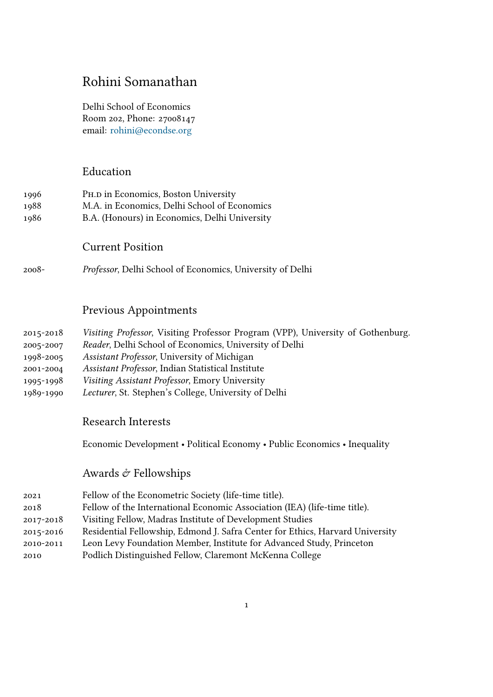# Rohini Somanathan

Delhi School of Economics Room 202, Phone: 27008147 email: rohini@econdse.org

## Educ[ation](mailto:rohini@econdse.org)

| 1996 | PH.D in Economics, Boston University          |
|------|-----------------------------------------------|
| 1988 | M.A. in Economics, Delhi School of Economics  |
| 1986 | B.A. (Honours) in Economics, Delhi University |
|      |                                               |
|      |                                               |

# Current Position

2008- *Professor*, Delhi School of Economics, University of Delhi

### Previous Appointments

- 2015-2018 *Visiting Professor*, Visiting Professor Program (VPP), University of Gothenburg.
- 2005-2007 *Reader*, Delhi School of Economics, University of Delhi
- 1998-2005 *Assistant Professor*, University of Michigan
- 2001-2004 *Assistant Professor*, Indian Statistical Institute
- 1995-1998 *Visiting Assistant Professor*, Emory University
- 1989-1990 *Lecturer*, St. Stephen's College, University of Delhi

## Research Interests

Economic Development • Political Economy • Public Economics • Inequality

#### Awards  $\acute{\mathrm{\sigma}}$  Fellowships

| 2021      | Fellow of the Econometric Society (life-time title).                          |
|-----------|-------------------------------------------------------------------------------|
| 2018      | Fellow of the International Economic Association (IEA) (life-time title).     |
| 2017-2018 | Visiting Fellow, Madras Institute of Development Studies                      |
| 2015-2016 | Residential Fellowship, Edmond J. Safra Center for Ethics, Harvard University |
| 2010-2011 | Leon Levy Foundation Member, Institute for Advanced Study, Princeton          |
| 2010      | Podlich Distinguished Fellow, Claremont McKenna College                       |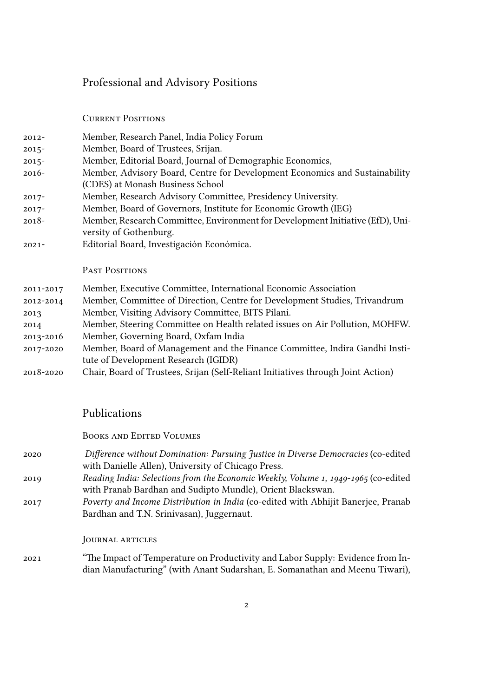# Professional and Advisory Positions

CuRRent Positions

| 2012-     | Member, Research Panel, India Policy Forum                                                               |
|-----------|----------------------------------------------------------------------------------------------------------|
| $2015 -$  | Member, Board of Trustees, Srijan.                                                                       |
| $2015 -$  | Member, Editorial Board, Journal of Demographic Economics,                                               |
| $2016-$   | Member, Advisory Board, Centre for Development Economics and Sustainability                              |
|           | (CDES) at Monash Business School                                                                         |
| $2017-$   | Member, Research Advisory Committee, Presidency University.                                              |
| $2017-$   | Member, Board of Governors, Institute for Economic Growth (IEG)                                          |
| $2018-$   | Member, Research Committee, Environment for Development Initiative (EfD), Uni-<br>versity of Gothenburg. |
| $2021 -$  | Editorial Board, Investigación Económica.                                                                |
|           | PAST POSITIONS                                                                                           |
| 2011-2017 | Member, Executive Committee, International Economic Association                                          |
| 2012-2014 | Member, Committee of Direction, Centre for Development Studies, Trivandrum                               |
| 2013      | Member, Visiting Advisory Committee, BITS Pilani.                                                        |
| 2014      | Member, Steering Committee on Health related issues on Air Pollution, MOHFW.                             |
| 2013-2016 | Member, Governing Board, Oxfam India                                                                     |
| 2017-2020 | Member, Board of Management and the Finance Committee, Indira Gandhi Insti-                              |
|           |                                                                                                          |

2018-2020 Chair, Board of Trustees, Srijan (Self-Reliant Initiatives through Joint Action)

# Publications

BooKs and Edited Volumes

tute of Development Research (IGIDR)

2020 *Difference without Domination: Pursuing Justice in Diverse Democracies* (co-edited with Danielle Allen), University of Chicago Press. 2019 *Reading India: Selections from the Economic Weekly, Volume 1, 1949-1965* (co-edited with Pranab Bardhan and Sudipto Mundle), Orient Blackswan. 2017 *Poverty and Income Distribution in India* (co-edited with Abhijit Banerjee, Pranab Bardhan and T.N. Srinivasan), Juggernaut.

JOURNAL ARTICLES

2021 "The Impact of Temperature on Productivity and Labor Supply: Evidence from Indian Manufacturing" (with Anant Sudarshan, E. Somanathan and Meenu Tiwari),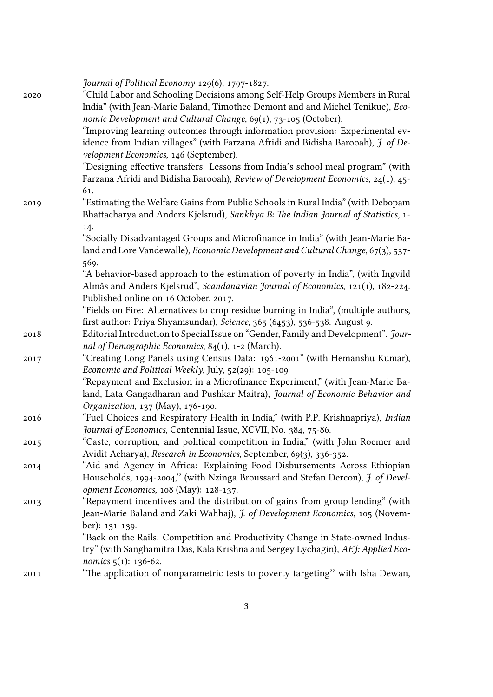| 2020 | Journal of Political Economy 129(6), 1797-1827.<br>"Child Labor and Schooling Decisions among Self-Help Groups Members in Rural<br>India" (with Jean-Marie Baland, Timothee Demont and and Michel Tenikue), Eco-<br>nomic Development and Cultural Change, 69(1), 73-105 (October).<br>"Improving learning outcomes through information provision: Experimental ev-<br>idence from Indian villages" (with Farzana Afridi and Bidisha Barooah), J. of De-<br>velopment Economics, 146 (September). |
|------|---------------------------------------------------------------------------------------------------------------------------------------------------------------------------------------------------------------------------------------------------------------------------------------------------------------------------------------------------------------------------------------------------------------------------------------------------------------------------------------------------|
| 2019 | "Designing effective transfers: Lessons from India's school meal program" (with<br>Farzana Afridi and Bidisha Barooah), Review of Development Economics, 24(1), 45-<br>61.<br>"Estimating the Welfare Gains from Public Schools in Rural India" (with Debopam                                                                                                                                                                                                                                     |
|      | Bhattacharya and Anders Kjelsrud), Sankhya B: The Indian Journal of Statistics, 1-<br>14.<br>"Socially Disadvantaged Groups and Microfinance in India" (with Jean-Marie Ba-<br>land and Lore Vandewalle), <i>Economic Development and Cultural Change</i> , 67(3), 537-                                                                                                                                                                                                                           |
|      | 569.<br>"A behavior-based approach to the estimation of poverty in India", (with Ingvild<br>Almås and Anders Kjelsrud", Scandanavian Journal of Economics, 121(1), 182-224.<br>Published online on 16 October, 2017.                                                                                                                                                                                                                                                                              |
| 2018 | "Fields on Fire: Alternatives to crop residue burning in India", (multiple authors,<br>first author: Priya Shyamsundar), Science, 365 (6453), 536-538. August 9.<br>Editorial Introduction to Special Issue on "Gender, Family and Development". Jour-<br>nal of Demographic Economics, 84(1), 1-2 (March).                                                                                                                                                                                       |
| 2017 | "Creating Long Panels using Census Data: 1961-2001" (with Hemanshu Kumar),<br>Economic and Political Weekly, July, 52(29): 105-109<br>"Repayment and Exclusion in a Microfinance Experiment," (with Jean-Marie Ba-                                                                                                                                                                                                                                                                                |
| 2016 | land, Lata Gangadharan and Pushkar Maitra), Journal of Economic Behavior and<br>Organization, 137 (May), 176-190.<br>"Fuel Choices and Respiratory Health in India," (with P.P. Krishnapriya), Indian                                                                                                                                                                                                                                                                                             |
| 2015 | Journal of Economics, Centennial Issue, XCVII, No. 384, 75-86.<br>"Caste, corruption, and political competition in India," (with John Roemer and                                                                                                                                                                                                                                                                                                                                                  |
| 2014 | Avidit Acharya), Research in Economics, September, 69(3), 336-352.<br>"Aid and Agency in Africa: Explaining Food Disbursements Across Ethiopian                                                                                                                                                                                                                                                                                                                                                   |
|      | Households, 1994-2004," (with Nzinga Broussard and Stefan Dercon), J. of Devel-<br>opment Economics, 108 (May): 128-137.                                                                                                                                                                                                                                                                                                                                                                          |
| 2013 | "Repayment incentives and the distribution of gains from group lending" (with<br>Jean-Marie Baland and Zaki Wahhaj), <i>J. of Development Economics</i> , 105 (Novem-<br>ber): 131-139.<br>"Back on the Rails: Competition and Productivity Change in State-owned Indus-                                                                                                                                                                                                                          |
|      | try" (with Sanghamitra Das, Kala Krishna and Sergey Lychagin), AEJ: Applied Eco-<br><i>nomics</i> $5(1)$ : 136-62.                                                                                                                                                                                                                                                                                                                                                                                |
| 2011 | "The application of nonparametric tests to poverty targeting" with Isha Dewan,                                                                                                                                                                                                                                                                                                                                                                                                                    |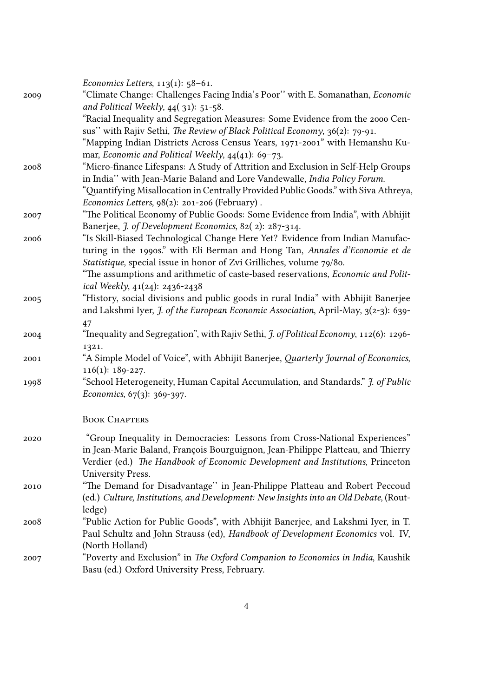|      | <i>Economics Letters,</i> $113(1)$ : 58-61.                                                    |
|------|------------------------------------------------------------------------------------------------|
| 2009 | "Climate Change: Challenges Facing India's Poor" with E. Somanathan, Economic                  |
|      | and Political Weekly, $44(31): 51-58$ .                                                        |
|      | "Racial Inequality and Segregation Measures: Some Evidence from the 2000 Cen-                  |
|      | sus" with Rajiv Sethi, The Review of Black Political Economy, 36(2): 79-91.                    |
|      | "Mapping Indian Districts Across Census Years, 1971-2001" with Hemanshu Ku-                    |
|      | mar, Economic and Political Weekly, $44(41)$ : 69-73.                                          |
| 2008 | "Micro-finance Lifespans: A Study of Attrition and Exclusion in Self-Help Groups               |
|      | in India" with Jean-Marie Baland and Lore Vandewalle, India Policy Forum.                      |
|      | "Quantifying Misallocation in Centrally Provided Public Goods." with Siva Athreya,             |
|      | Economics Letters, 98(2): 201-206 (February).                                                  |
| 2007 | "The Political Economy of Public Goods: Some Evidence from India", with Abhijit                |
|      | Banerjee, J. of Development Economics, 82(2): 287-314.                                         |
| 2006 | "Is Skill-Biased Technological Change Here Yet? Evidence from Indian Manufac-                  |
|      | turing in the 1990s." with Eli Berman and Hong Tan, Annales d'Economie et de                   |
|      | Statistique, special issue in honor of Zvi Grilliches, volume 79/80.                           |
|      | "The assumptions and arithmetic of caste-based reservations, Economic and Polit-               |
|      | ical Weekly, 41(24): 2436-2438                                                                 |
| 2005 | "History, social divisions and public goods in rural India" with Abhijit Banerjee              |
|      | and Lakshmi Iyer, J. of the European Economic Association, April-May, 3(2-3): 639-             |
|      | 47                                                                                             |
| 2004 | "Inequality and Segregation", with Rajiv Sethi, <i>J. of Political Economy</i> , 112(6): 1296- |
|      | 1321.                                                                                          |
| 2001 | "A Simple Model of Voice", with Abhijit Banerjee, Quarterly Journal of Economics,              |
|      | $116(1): 189-227.$                                                                             |
| 1998 | "School Heterogeneity, Human Capital Accumulation, and Standards." J. of Public                |
|      | <i>Economics</i> , $67(3)$ : 369-397.                                                          |
|      |                                                                                                |
|      | <b>BOOK CHAPTERS</b>                                                                           |
|      |                                                                                                |
| 2020 | "Group Inequality in Democracies: Lessons from Cross-National Experiences"                     |
|      | in Jean-Marie Baland, François Bourguignon, Jean-Philippe Platteau, and Thierry                |
|      | Verdier (ed.) The Handbook of Economic Development and Institutions, Princeton                 |
|      | <b>University Press.</b>                                                                       |
| 2010 | "The Demand for Disadvantage" in Jean-Philippe Platteau and Robert Peccoud                     |
|      | (ed.) Culture, Institutions, and Development: New Insights into an Old Debate, (Rout-          |
|      | ledge)                                                                                         |
| 2008 | "Public Action for Public Goods", with Abhijit Banerjee, and Lakshmi Iyer, in T.               |
|      | Paul Schultz and John Strauss (ed), Handbook of Development Economics vol. IV,                 |
|      | (North Holland)                                                                                |
| 2007 | "Poverty and Exclusion" in The Oxford Companion to Economics in India, Kaushik                 |
|      | Basu (ed.) Oxford University Press, February.                                                  |